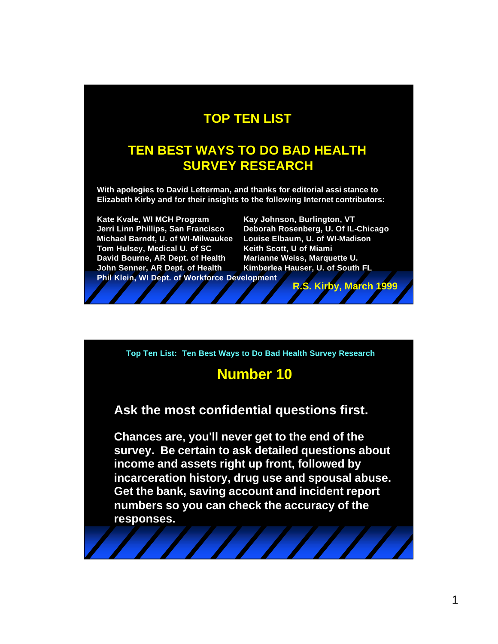### **TOP TEN LIST**

### **TEN BEST WAYS TO DO BAD HEALTH SURVEY RESEARCH**

**With apologies to David Letterman, and thanks for editorial assi stance to Elizabeth Kirby and for their insights to the following Internet contributors:** 

**Kate Kvale, WI MCH Program Kay Johnson, Burlington, VT Michael Barndt, U. of WI-Milwaukee Louise Elbaum, U. of WI-Madison Tom Hulsey, Medical U. of SC Keith Scott, U of Miami David Bourne, AR Dept. of Health Marianne Weiss, Marquette U. John Senner, AR Dept. of Health Kimberlea Hauser, U. of South FL Phil Klein, WI Dept. of Workforce Development**

**Jerri Linn Phillips, San Francisco Deborah Rosenberg, U. Of IL-Chicago**

**R.S. Kirby, March 1999**

**Top Ten List: Ten Best Ways to Do Bad Health Survey Research**

### **Number 10**

**Ask the most confidential questions first.**

**Chances are, you'll never get to the end of the survey. Be certain to ask detailed questions about income and assets right up front, followed by incarceration history, drug use and spousal abuse. Get the bank, saving account and incident report numbers so you can check the accuracy of the responses.**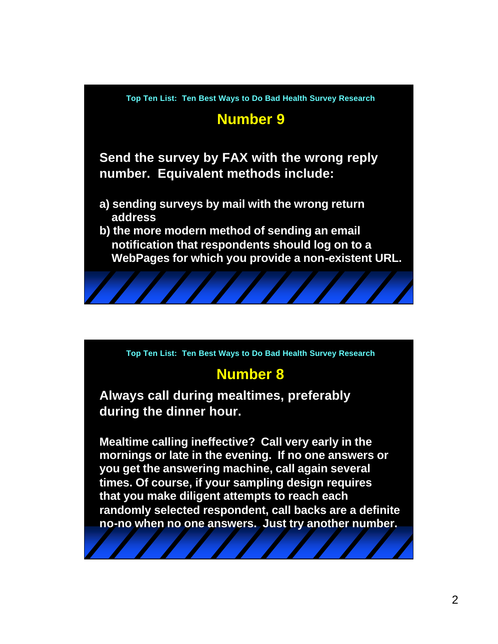## **Number 9**

**Send the survey by FAX with the wrong reply number. Equivalent methods include:**

- **a) sending surveys by mail with the wrong return address**
- **b) the more modern method of sending an email notification that respondents should log on to a WebPages for which you provide a non-existent URL.**



## **Number 8**

**Always call during mealtimes, preferably during the dinner hour.** 

**Mealtime calling ineffective? Call very early in the mornings or late in the evening. If no one answers or you get the answering machine, call again several times. Of course, if your sampling design requires that you make diligent attempts to reach each randomly selected respondent, call backs are a definite no-no when no one answers. Just try another number.**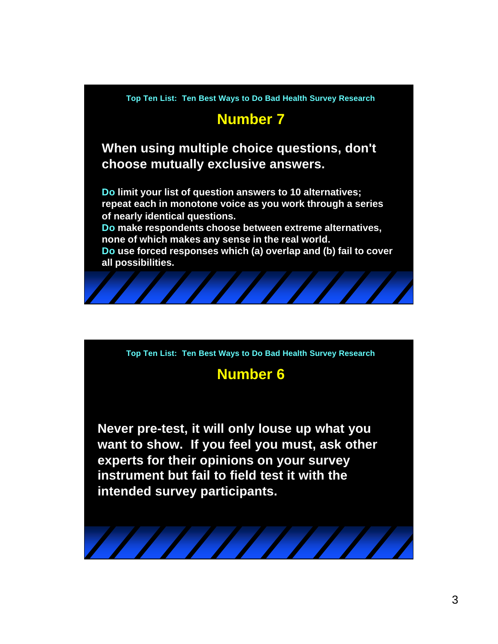## **Number 7**

**When using multiple choice questions, don't choose mutually exclusive answers.**

**Do limit your list of question answers to 10 alternatives; repeat each in monotone voice as you work through a series of nearly identical questions.**

**Do make respondents choose between extreme alternatives, none of which makes any sense in the real world.**

**Do use forced responses which (a) overlap and (b) fail to cover all possibilities.**



**Top Ten List: Ten Best Ways to Do Bad Health Survey Research**

## **Number 6**

**Never pre-test, it will only louse up what you want to show. If you feel you must, ask other experts for their opinions on your survey instrument but fail to field test it with the intended survey participants.**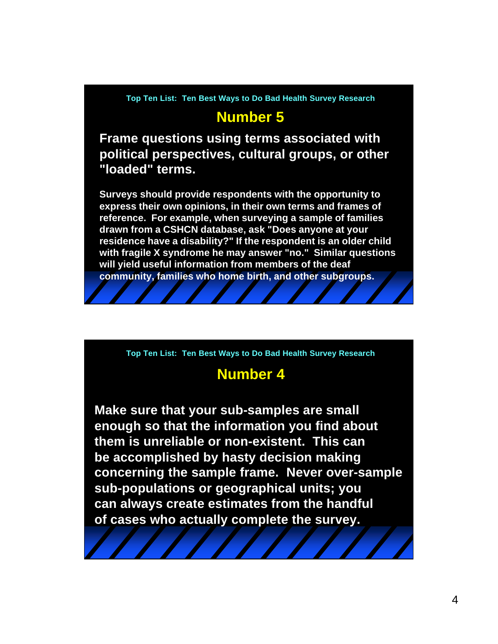### **Number 5**

**Frame questions using terms associated with political perspectives, cultural groups, or other "loaded" terms.** 

**Surveys should provide respondents with the opportunity to express their own opinions, in their own terms and frames of reference. For example, when surveying a sample of families drawn from a CSHCN database, ask "Does anyone at your residence have a disability?" If the respondent is an older child with fragile X syndrome he may answer "no." Similar questions will yield useful information from members of the deaf community, families who home birth, and other subgroups.**

**Top Ten List: Ten Best Ways to Do Bad Health Survey Research**

### **Number 4**

**Make sure that your sub-samples are small enough so that the information you find about them is unreliable or non-existent. This can be accomplished by hasty decision making concerning the sample frame. Never over-sample sub-populations or geographical units; you can always create estimates from the handful of cases who actually complete the survey.**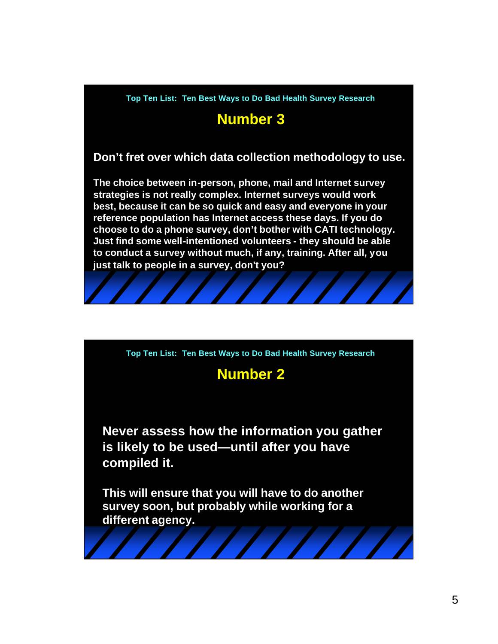# **Number 3**

### **Don't fret over which data collection methodology to use.**

**The choice between in-person, phone, mail and Internet survey strategies is not really complex. Internet surveys would work best, because it can be so quick and easy and everyone in your reference population has Internet access these days. If you do choose to do a phone survey, don't bother with CATI technology. Just find some well-intentioned volunteers - they should be able to conduct a survey without much, if any, training. After all, you just talk to people in a survey, don't you?**



## **Number 2**

**Never assess how the information you gather is likely to be used—until after you have compiled it.** 

**This will ensure that you will have to do another survey soon, but probably while working for a different agency.**